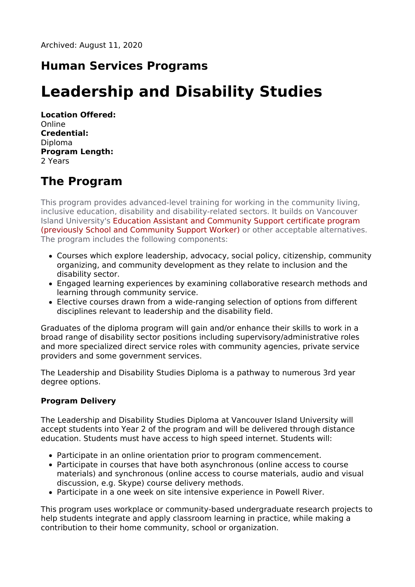# **Human Services Programs**

# **Leadership and Disability Studies**

**Location Offered:** Online **Credential:** Diploma **Program Length:** 2 Years

# **The Program**

This program provides advanced-level training for working in the community living, inclusive education, disability and disability-related sectors. It builds on Vancouver Island University's Education Assistant and Community Support certificate program (previously School and Community Support Worker) or other acceptable alternatives. The program includes the following components:

- Courses which explore leadership, advocacy, social policy, citizenship, community organizing, and community development as they relate to inclusion and the disability sector.
- Engaged learning experiences by examining collaborative research methods and learning through community service.
- Elective courses drawn from a wide-ranging selection of options from different disciplines relevant to leadership and the disability field.

Graduates of the diploma program will gain and/or enhance their skills to work in a broad range of disability sector positions including supervisory/administrative roles and more specialized direct service roles with community agencies, private service providers and some government services.

The Leadership and Disability Studies Diploma is a pathway to numerous 3rd year degree options.

#### **Program Delivery**

The Leadership and Disability Studies Diploma at Vancouver Island University will accept students into Year 2 of the program and will be delivered through distance education. Students must have access to high speed internet. Students will:

- Participate in an online orientation prior to program commencement.
- Participate in courses that have both asynchronous (online access to course materials) and synchronous (online access to course materials, audio and visual discussion, e.g. Skype) course delivery methods.
- Participate in a one week on site intensive experience in Powell River.

This program uses workplace or community-based undergraduate research projects to help students integrate and apply classroom learning in practice, while making a contribution to their home community, school or organization.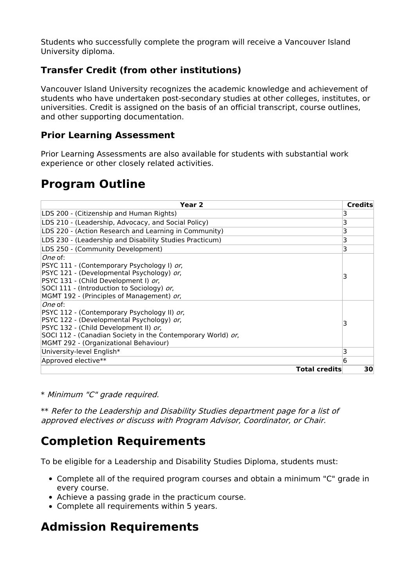Students who successfully complete the program will receive a Vancouver Island University diploma.

#### **Transfer Credit (from other institutions)**

Vancouver Island University recognizes the academic knowledge and achievement of students who have undertaken post-secondary studies at other colleges, institutes, or universities. Credit is assigned on the basis of an official transcript, course outlines, and other supporting documentation.

#### **Prior Learning Assessment**

Prior Learning Assessments are also available for students with substantial work experience or other closely related activities.

### **Program Outline**

| Year <sub>2</sub>                                                                                                                                                                                                                                    | <b>Credits</b> |
|------------------------------------------------------------------------------------------------------------------------------------------------------------------------------------------------------------------------------------------------------|----------------|
| LDS 200 - (Citizenship and Human Rights)                                                                                                                                                                                                             | 3              |
| LDS 210 - (Leadership, Advocacy, and Social Policy)                                                                                                                                                                                                  | 3              |
| LDS 220 - (Action Research and Learning in Community)                                                                                                                                                                                                | 3              |
| LDS 230 - (Leadership and Disability Studies Practicum)                                                                                                                                                                                              | 3              |
| LDS 250 - (Community Development)                                                                                                                                                                                                                    | 3              |
| One of:<br>PSYC 111 - (Contemporary Psychology I) or,<br>PSYC 121 - (Developmental Psychology) or,<br>PSYC 131 - (Child Development I) or,<br>SOCI 111 - (Introduction to Sociology) or,<br>MGMT 192 - (Principles of Management) or,                |                |
| One of:<br>PSYC 112 - (Contemporary Psychology II) or,<br>PSYC 122 - (Developmental Psychology) or,<br>PSYC 132 - (Child Development II) or,<br>SOCI 112 - (Canadian Society in the Contemporary World) or,<br>MGMT 292 - (Organizational Behaviour) | 3              |
| University-level English*                                                                                                                                                                                                                            | 3              |
| Approved elective**                                                                                                                                                                                                                                  | 6              |
| <b>Total credits</b>                                                                                                                                                                                                                                 | 30             |

\* Minimum "C" grade required.

\*\* Refer to the Leadership and Disability Studies department page for a list of approved electives or discuss with Program Advisor, Coordinator, or Chair.

### **Completion Requirements**

To be eligible for a Leadership and Disability Studies Diploma, students must:

- Complete all of the required program courses and obtain a minimum "C" grade in every course.
- Achieve a passing grade in the practicum course.
- Complete all requirements within 5 years.

### **Admission Requirements**